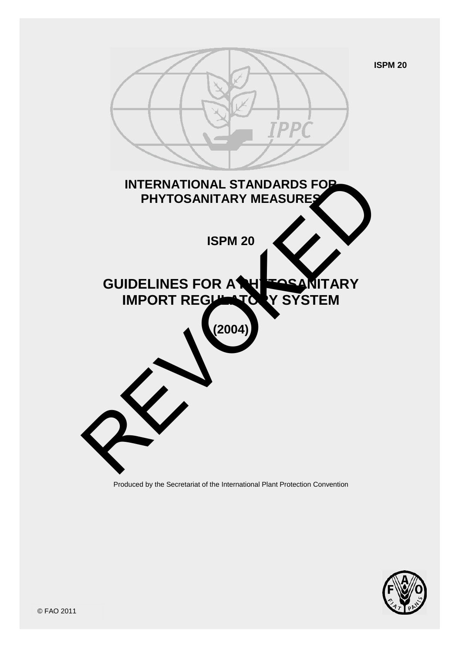



Produced by the Secretariat of the International Plant Protection Convention

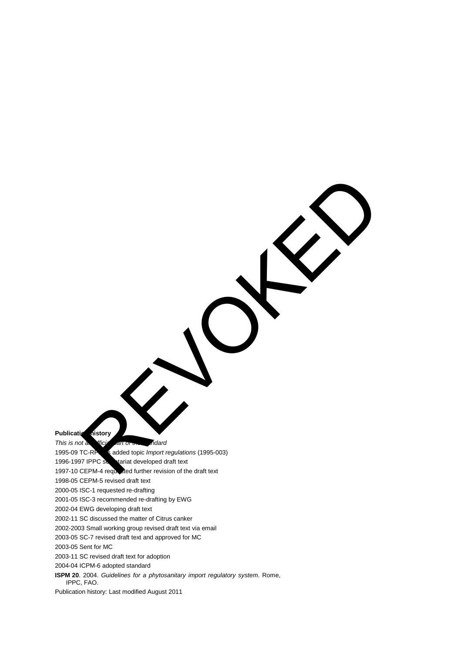**Publication istory** 

*This is not an efficial art of the standard* 

1995-09 TC-RPP<sub>S</sub> added topic *Import regulations* (1995-003) Report of the Contract Contract Contract Contract Contract Contract Contract Contract Contract Contract Contract Contract Contract Contract Contract Contract Contract Contract Contract Contract Contract Contract Contract C

1996-1997 IPPC service tariat developed draft text

1997-10 CEPM-4 requested further revision of the draft text

1998-05 CEPM-5 revised draft text

2000-05 ISC-1 requested re-drafting

2001-05 ISC-3 recommended re-drafting by EWG

2002-04 EWG developing draft text

2002-11 SC discussed the matter of Citrus canker

2002-2003 Small working group revised draft text via email

2003-05 SC-7 revised draft text and approved for MC

2003-05 Sent for MC

2003-11 SC revised draft text for adoption

2004-04 ICPM-6 adopted standard

**ISPM 20**. 2004. *Guidelines for a phytosanitary import regulatory system*. Rome, IPPC, FAO.

Publication history: Last modified August 2011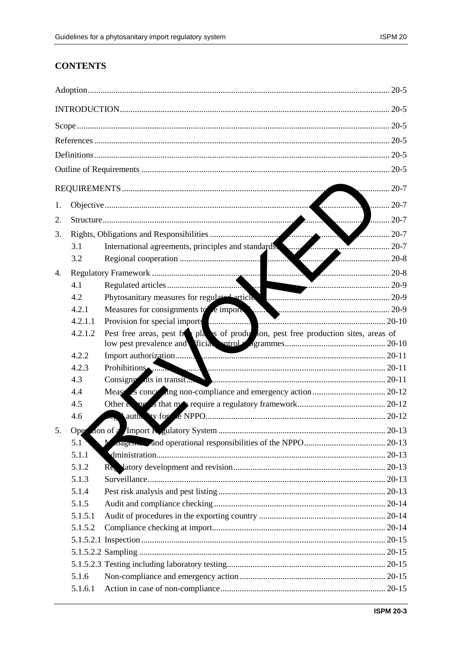# **CONTENTS**

| 20-7 |         |                                                                                      |               |  |  |  |  |
|------|---------|--------------------------------------------------------------------------------------|---------------|--|--|--|--|
|      |         |                                                                                      |               |  |  |  |  |
| 1.   |         |                                                                                      | $\ldots$ 20-7 |  |  |  |  |
| 2.   |         | . 1                                                                                  | $\ldots$ 20-7 |  |  |  |  |
| 3.   |         | $\frac{1}{20}$                                                                       |               |  |  |  |  |
|      | 3.1     | International agreements, principles and standards                                   |               |  |  |  |  |
|      | 3.2     |                                                                                      |               |  |  |  |  |
| 4.   |         |                                                                                      |               |  |  |  |  |
|      | 4.1     | h,                                                                                   |               |  |  |  |  |
|      | 4.2     |                                                                                      |               |  |  |  |  |
|      | 4.2.1   |                                                                                      |               |  |  |  |  |
|      | 4.2.1.1 |                                                                                      |               |  |  |  |  |
|      | 4.2.1.2 | Pest free areas, pest from plans of production, pest free production sites, areas of |               |  |  |  |  |
|      | 4.2.2   |                                                                                      |               |  |  |  |  |
|      | 4.2.3   | Prohibitions                                                                         |               |  |  |  |  |
|      | 4.3     | Consigne ats in transit                                                              |               |  |  |  |  |
|      | 4.4     |                                                                                      |               |  |  |  |  |
|      | 4.5     |                                                                                      |               |  |  |  |  |
|      | 4.6     |                                                                                      |               |  |  |  |  |
| 5.   | Oper    |                                                                                      |               |  |  |  |  |
|      | 5.1     | $\mathbf{M}$                                                                         |               |  |  |  |  |
|      | 5.1.1   |                                                                                      |               |  |  |  |  |
|      | 5.1.2   |                                                                                      |               |  |  |  |  |
|      | 5.1.3   |                                                                                      |               |  |  |  |  |
|      | 5.1.4   |                                                                                      |               |  |  |  |  |
|      | 5.1.5   |                                                                                      |               |  |  |  |  |
|      | 5.1.5.1 |                                                                                      |               |  |  |  |  |
|      | 5.1.5.2 |                                                                                      |               |  |  |  |  |
|      |         |                                                                                      |               |  |  |  |  |
|      |         |                                                                                      |               |  |  |  |  |
|      |         |                                                                                      |               |  |  |  |  |
|      | 5.1.6   |                                                                                      |               |  |  |  |  |
|      | 5.1.6.1 |                                                                                      |               |  |  |  |  |
|      |         |                                                                                      |               |  |  |  |  |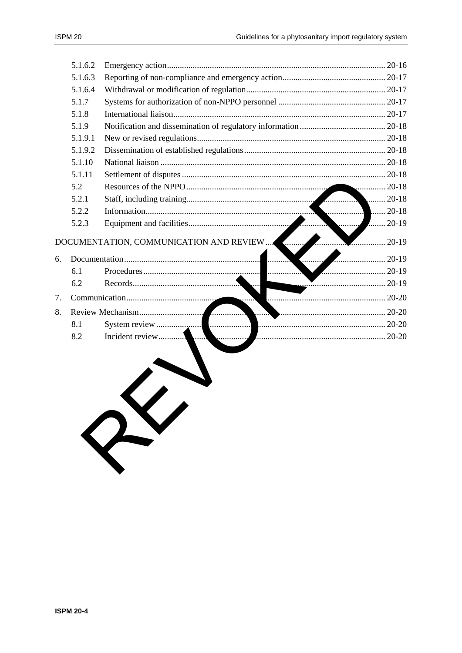| ISPM 20 |  |
|---------|--|
|---------|--|

|    | 5.1.6.2 |                 |                    |
|----|---------|-----------------|--------------------|
|    | 5.1.6.3 |                 |                    |
|    | 5.1.6.4 |                 |                    |
|    | 5.1.7   |                 |                    |
|    | 5.1.8   |                 |                    |
|    | 5.1.9   |                 |                    |
|    | 5.1.9.1 |                 |                    |
|    | 5.1.9.2 |                 |                    |
|    | 5.1.10  |                 |                    |
|    | 5.1.11  |                 |                    |
|    | 5.2     |                 |                    |
|    | 5.2.1   |                 | $\ldots$ 20-18     |
|    | 5.2.2   |                 | $.20 - 18$         |
|    | 5.2.3   | . 4             | $\frac{1}{20}$ -19 |
|    |         |                 |                    |
| 6. |         | $20-19$<br>.    |                    |
|    | 6.1     | .               |                    |
|    | 6.2     |                 |                    |
| 7. |         | . 7             |                    |
| 8. |         | 20-20           |                    |
|    | 8.1     |                 |                    |
|    | 8.2     | Incident review |                    |
|    |         |                 |                    |
|    |         |                 |                    |
|    |         |                 |                    |
|    |         |                 |                    |
|    |         |                 |                    |
|    |         |                 |                    |
|    |         |                 |                    |
|    |         | RY              |                    |
|    |         |                 |                    |
|    |         |                 |                    |
|    |         |                 |                    |
|    |         |                 |                    |
|    |         |                 |                    |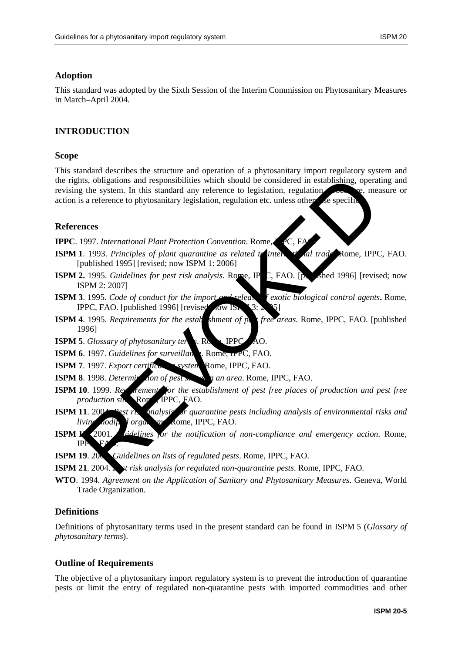### **Adoption**

This standard was adopted by the Sixth Session of the Interim Commission on Phytosanitary Measures in March–April 2004.

### **INTRODUCTION**

#### **Scope**

This standard describes the structure and operation of a phytosanitary import regulatory system and the rights, obligations and responsibilities which should be considered in establishing, operating and revising the system. In this standard any reference to legislation, regulation,  $\sim$  re, measure or action is a reference to phytosanitary legislation, regulation etc. unless otherwise specifie The system. In this standard any reference to legislation, regulation exactly thing, operation as a reference to phytosanitary legislation, regulation rec. The system as a reference to phytosanitary legislation, regulation

#### **References**

**IPPC**. 1997. *International Plant Protection Convention*. Rome, *IPC*, F

- **ISPM 1**. 1993. *Principles of plant quarantine as related to international trade*. Rome, IPPC, FAO. [published 1995] [revised; now ISPM 1: 2006]
- **ISPM 2.** 1995. *Guidelines for pest risk analysis*. Rome, IP C, FAO. [published 1996] [revised; now ISPM 2: 2007]
- **ISPM 3**. 1995. *Code of conduct for the import and release f exotic biological control agents***.** Rome, IPPC, FAO. [published 1996] [revised]
- **ISPM 4**. 1995. *Requirements for the establishment of pet free areas*. Rome, IPPC, FAO. [published] 1996]
- **ISPM 5**. *Glossary of phytosanitary terms*. Rome, **IPPC**, AO.
- **ISPM 6**. 1997. *Guidelines for surveillance.* Rome, **IPPC**, FAO.
- **ISPM 7**. 1997. *Export certification system*. Rome, IPPC, FAO.
- **ISPM 8**. 1998. *Determination of pest status in an area*. Rome, IPPC, FAO.
- **ISPM 10**. 1999. *Requirement* for the establishment of pest free places of production and pest free *production sites*. Rome, IPPC, FAO.
- **ISPM 11.** 2004. *Pest ris analysis of quarantine pests including analysis of environmental risks and living modified organisms*. Rome, IPPC, FAO.
- **ISPM 13**. 2001. *Guidelines for the notification of non-compliance and emergency action*. Rome, IPF<sub>1</sub>
- **ISPM 19**. 2003. *Guidelines on lists of regulated pests*. Rome, IPPC, FAO.
- **ISPM 21**. 2004. *Petrisk analysis for regulated non-quarantine pests.* Rome, IPPC, FAO.
- **WTO**. 1994. *Agreement on the Application of Sanitary and Phytosanitary Measures*. Geneva, World Trade Organization.

#### **Definitions**

Definitions of phytosanitary terms used in the present standard can be found in ISPM 5 (*Glossary of phytosanitary terms*).

#### **Outline of Requirements**

The objective of a phytosanitary import regulatory system is to prevent the introduction of quarantine pests or limit the entry of regulated non-quarantine pests with imported commodities and other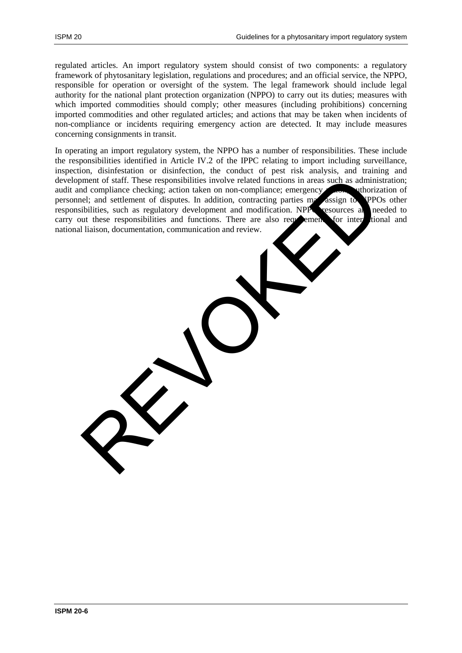regulated articles. An import regulatory system should consist of two components: a regulatory framework of phytosanitary legislation, regulations and procedures; and an official service, the NPPO, responsible for operation or oversight of the system. The legal framework should include legal authority for the national plant protection organization (NPPO) to carry out its duties; measures with which imported commodities should comply; other measures (including prohibitions) concerning imported commodities and other regulated articles; and actions that may be taken when incidents of non-compliance or incidents requiring emergency action are detected. It may include measures concerning consignments in transit.

In operating an import regulatory system, the NPPO has a number of responsibilities. These include the responsibilities identified in Article IV.2 of the IPPC relating to import including surveillance, inspection, disinfestation or disinfection, the conduct of pest risk analysis, and training and development of staff. These responsibilities involve related functions in areas such as administration; audit and compliance checking; action taken on non-compliance; emergency and uthorization of personnel; and settlement of disputes. In addition, contracting parties may assign to NPPOs other responsibilities, such as regulatory development and modification. NPP resources at needed to carry out these responsibilities and functions. There are also requirements for international and national liaison, documentation, communication and review. ment of staff. These responsibilities involve related functions in areas such as adminited compliance checking; action taken on non-compliance; emergency assign to preface the distinction of disputs. In addition, contracti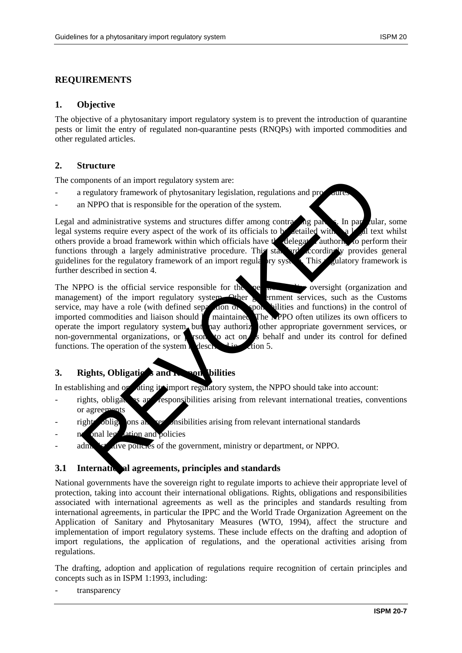### **REQUIREMENTS**

#### **1. Objective**

The objective of a phytosanitary import regulatory system is to prevent the introduction of quarantine pests or limit the entry of regulated non-quarantine pests (RNQPs) with imported commodities and other regulated articles.

#### **2. Structure**

The components of an import regulatory system are:

- a regulatory framework of phytosanitary legislation, regulations and pro-
- an NPPO that is responsible for the operation of the system.

Legal and administrative systems and structures differ among contracting parties. In particular, some legal systems require every aspect of the work of its officials to be detailed with a  $\mathcal{V}$  all text whilst others provide a broad framework within which officials have the delegated authority to perform their functions through a largely administrative procedure. This standard accordingly provides general guidelines for the regulatory framework of an import regulatory system. This regulatory framework is further described in section 4.

The NPPO is the official service responsible for the operation  $\mathbf{r}$  oversight (organization and management) of the import regulatory system. Other government services, such as the Customs service, may have a role (with defined separation of responsibilities and functions) in the control of imported commodities and liaison should  $\blacksquare$  maintained. The NPPO often utilizes its own officers to operate the import regulatory system, but hay authorize other appropriate government services, or non-governmental organizations, or **persons** to act on its behalf and under its control for defined functions. The operation of the system is described in  $\mathcal{L}$  tion 5. mponents of an import regulatory system are:<br>
regulatory framework of phytosanitary legislation, regulations and procedures<br>
and administrative systems and structures differ among contracting part<br>
and administrative syste

# **3.** Rights, Obligations and Responsibilities

In establishing and operating its import regulatory system, the NPPO should take into account:

- rights, obligations and responsibilities arising from relevant international treaties, conventions or agreements
- rights, obligations and responsibilities arising from relevant international standards
- onal leg<sup>i</sup> dation and policies
- adm.  $\mathbf{v}^{\prime}$  alve policies of the government, ministry or department, or NPPO.

#### **3.1 International agreements, principles and standards**

National governments have the sovereign right to regulate imports to achieve their appropriate level of protection, taking into account their international obligations. Rights, obligations and responsibilities associated with international agreements as well as the principles and standards resulting from international agreements, in particular the IPPC and the World Trade Organization Agreement on the Application of Sanitary and Phytosanitary Measures (WTO, 1994), affect the structure and implementation of import regulatory systems. These include effects on the drafting and adoption of import regulations, the application of regulations, and the operational activities arising from regulations.

The drafting, adoption and application of regulations require recognition of certain principles and concepts such as in ISPM 1:1993, including:

transparency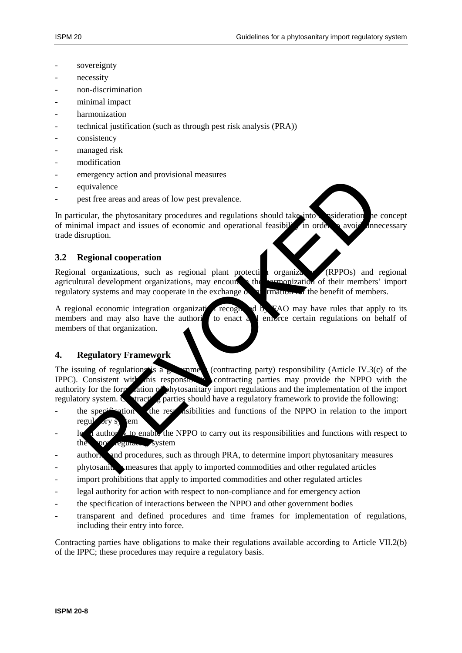- sovereignty
- necessity
- non-discrimination
- minimal impact
- harmonization
- technical justification (such as through pest risk analysis (PRA))
- consistency
- managed risk
- modification
- emergency action and provisional measures
- equivalence
- pest free areas and areas of low pest prevalence.

In particular, the phytosanitary procedures and regulations should take into esideration he concept of minimal impact and issues of economic and operational feasibility in order  $\alpha$  avoid unnecessary trade disruption.

#### **3.2 Regional cooperation**

Regional organizations, such as regional plant protection organizations (RPPOs) and regional agricultural development organizations, may encourage the **harmonization** of their members' import regulatory systems and may cooperate in the exchange  $\alpha$  in  $\alpha$  in  $\alpha$  in the benefit of members.

A regional economic integration organization recognized by FAO may have rules that apply to its members and may also have the authori $\overline{a}$  to enact  $\overline{a}$  and enforce certain regulations on behalf of members of that organization.

### **4. Regulatory Framework**

The issuing of regulations is a  $\epsilon$  contracting party) responsibility (Article IV.3(c) of the IPPC). Consistent with this responsibility contracting parties may provide the NPPO with the authority for the formulation of phytosanitary import regulations and the implementation of the import regulatory system. Contracting parties should have a regulatory framework to provide the following: dividence<br>
and interesting a color and provisional measures<br>
extreme the phytosanitary procedures and regulations should take into<br>
mal impact and issues of economic and operational casubit in order avoir and<br>
a comparison

- the specification of the responsibilities and functions of the NPPO in relation to the import regul
- $\log$  detail authority to enable the NPPO to carry out its responsibilities and functions with respect to the **port equine system**
- authority and procedures, such as through PRA, to determine import phytosanitary measures
- phytosanitary measures that apply to imported commodities and other regulated articles
- import prohibitions that apply to imported commodities and other regulated articles
- legal authority for action with respect to non-compliance and for emergency action
- the specification of interactions between the NPPO and other government bodies
- transparent and defined procedures and time frames for implementation of regulations, including their entry into force.

Contracting parties have obligations to make their regulations available according to Article VII.2(b) of the IPPC; these procedures may require a regulatory basis.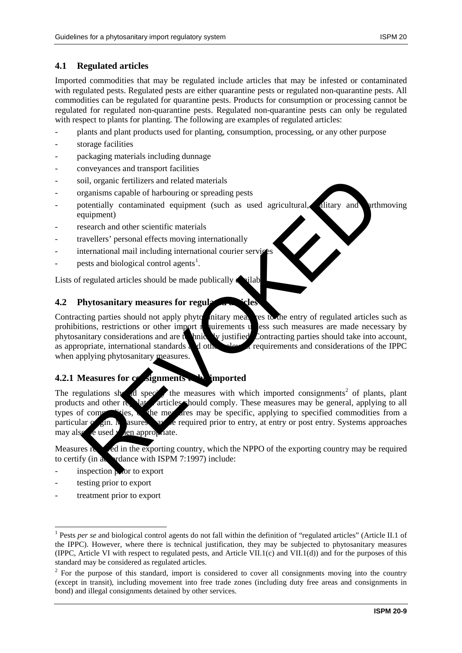### **4.1 Regulated articles**

Imported commodities that may be regulated include articles that may be infested or contaminated with regulated pests. Regulated pests are either quarantine pests or regulated non-quarantine pests. All commodities can be regulated for quarantine pests. Products for consumption or processing cannot be regulated for regulated non-quarantine pests. Regulated non-quarantine pests can only be regulated with respect to plants for planting. The following are examples of regulated articles:

- plants and plant products used for planting, consumption, processing, or any other purpose
- storage facilities
- packaging materials including dunnage
- conveyances and transport facilities
- soil, organic fertilizers and related materials
- organisms capable of harbouring or spreading pests
- potentially contaminated equipment (such as used agricultural, military and earthmoving equipment)
- research and other scientific materials
- travellers' personal effects moving internationally
- international mail including international courier services
- pests and biological control agents<sup>1</sup>.

Lists of regulated articles should be made publically  $\bullet$  allable.

#### **4.2 Phytosanitary measures for regulation in cles**

Contracting parties should not apply phytosanitary measures to the entry of regulated articles such as prohibitions, restrictions or other import requirements uses such measures are made necessary by phytosanitary considerations and are technically justified. Contracting parties should take into account, as appropriate, international standards and other requirements and considerations of the IPPC when applying phytosanitary measures.

# **4.2.1 Measures for consignments. The imported**

The regulations should specify the measures with which imported consignments<sup>2</sup> of plants, plant products and other regulated articles should comply. These measures may be general, applying to all types of commodities, the measures may be specific, applying to specified commodities from a particular  $\alpha$  gin. Measures may be required prior to entry, at entry or post entry. Systems approaches may also be used  $\mathbf y$  den appropriate. oil, organic fertilizers and related materials<br>reganisms capable of harbouring or spreading pests<br>otentially contaminated equipment (such as used agricultural, alitary and<br>quipment)<br>exacter and other scientific materials<br>r

Measures required in the exporting country, which the NPPO of the exporting country may be required to certify (in a cordance with ISPM 7:1997) include:

- inspection  $\triangleright$  for to export
- testing prior to export
- treatment prior to export

<span id="page-8-0"></span><sup>&</sup>lt;u>.</u> <sup>1</sup> Pests *per se* and biological control agents do not fall within the definition of "regulated articles" (Article II.1 of the IPPC). However, where there is technical justification, they may be subjected to phytosanitary measures (IPPC, Article VI with respect to regulated pests, and Article VII.1(c) and VII.1(d)) and for the purposes of this standard may be considered as regulated articles.

<span id="page-8-1"></span> $2$  For the purpose of this standard, import is considered to cover all consignments moving into the country (except in transit), including movement into free trade zones (including duty free areas and consignments in bond) and illegal consignments detained by other services.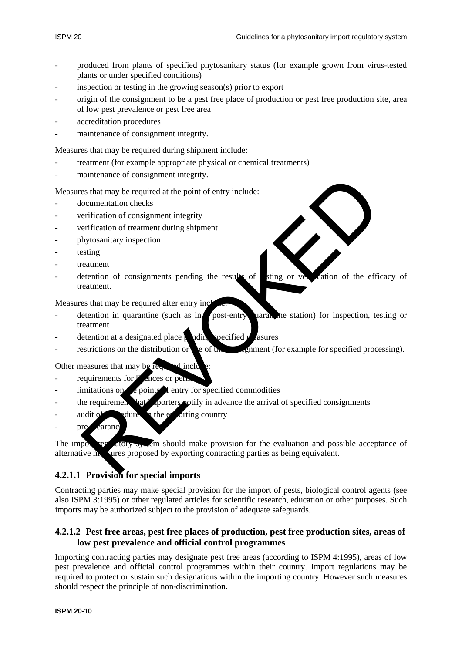- produced from plants of specified phytosanitary status (for example grown from virus-tested plants or under specified conditions)
- inspection or testing in the growing season(s) prior to export
- origin of the consignment to be a pest free place of production or pest free production site, area of low pest prevalence or pest free area
- accreditation procedures
- maintenance of consignment integrity.

Measures that may be required during shipment include:

- treatment (for example appropriate physical or chemical treatments)
- maintenance of consignment integrity.

Measures that may be required at the point of entry include:

- documentation checks
- verification of consignment integrity
- verification of treatment during shipment
- phytosanitary inspection
- testing
- treatment
- detention of consignments pending the results of sting or verification of the efficacy of treatment.

Measures that may be required after entry included:

- $\alpha$  detention in quarantine (such as in a post-entry quarantine station) for inspection, testing or treatment Hamitenance of consignment integrity.<br>
See that may be required at the point of entry include:<br>
Societization of consignment integrity<br>
rerification of consignment spating<br>
reating the results of the efficient of consignme
- detention at a designated place  $\frac{1}{2}$  measures
- $\text{restriction}$  restrictions on the distribution or  $\text{col}$  of the constant (for example for specified processing).

Other measures that may be required include:

- requirements for  $\mathbf{F}$  ences or permits
- $\lim$ itations on  $\ell$  points  $\ell$  entry for specified commodities
- the requirement hat importers notify in advance the arrival of specified consignments
- audit of  $\Box$  adures in the exporting country
- pre-carance

The import regulatory system should make provision for the evaluation and possible acceptance of alternative  $\mathbf{m}$  are proposed by exporting contracting parties as being equivalent.

# **4.2.1.1 Provision for special imports**

Contracting parties may make special provision for the import of pests, biological control agents (see also ISPM 3:1995) or other regulated articles for scientific research, education or other purposes. Such imports may be authorized subject to the provision of adequate safeguards.

#### **4.2.1.2 Pest free areas, pest free places of production, pest free production sites, areas of low pest prevalence and official control programmes**

Importing contracting parties may designate pest free areas (according to ISPM 4:1995), areas of low pest prevalence and official control programmes within their country. Import regulations may be required to protect or sustain such designations within the importing country. However such measures should respect the principle of non-discrimination.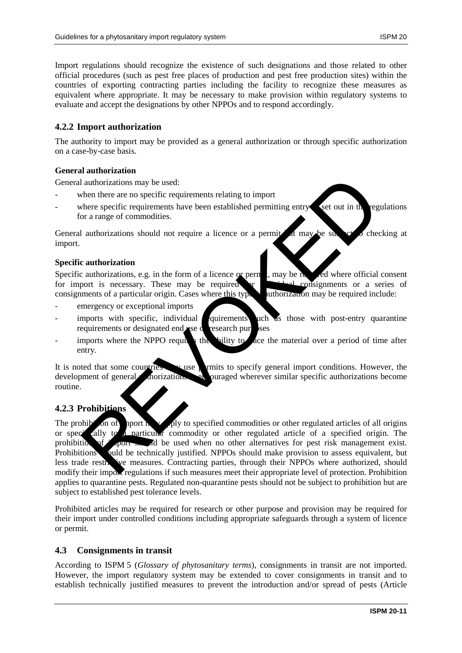Import regulations should recognize the existence of such designations and those related to other official procedures (such as pest free places of production and pest free production sites) within the countries of exporting contracting parties including the facility to recognize these measures as equivalent where appropriate. It may be necessary to make provision within regulatory systems to evaluate and accept the designations by other NPPOs and to respond accordingly.

#### **4.2.2 Import authorization**

The authority to import may be provided as a general authorization or through specific authorization on a case-by-case basis.

#### **General authorization**

General authorizations may be used:

- when there are no specific requirements relating to import
- where specific requirements have been established permitting entry set out in the regulations for a range of commodities.

General authorizations should not require a licence or a permit  $\alpha$  may be subject to checking at import.

#### **Specific authorization**

Specific authorizations, e.g. in the form of a licence or permit, may be required where official consent for import is necessary. These may be required or individual consignments or a series of consignments of a particular origin. Cases where this type of authorization may be required include:

- emergency or exceptional imports
- imports with specific, individual quirements uch as those with post-entry quarantine requirements or designated end use or research purposes
- imports where the NPPO requires the bility to the material over a period of time after entry.

It is noted that some countries was permits to specify general import conditions. However, the development of general anorizations of puraged wherever similar specific authorizations become routine.

### **4.2.3 Prohibitions**

The prohibition of inport may apply to specified commodities or other regulated articles of all origins or specified visit to a particular commodity or other regulated article of a specified origin. The prohibition of import showld be used when no other alternatives for pest risk management exist. Prohibitions should be technically justified. NPPOs should make provision to assess equivalent, but less trade restrictive measures. Contracting parties, through their NPPOs where authorized, should modify their import regulations if such measures meet their appropriate level of protection. Prohibition applies to quarantine pests. Regulated non-quarantine pests should not be subject to prohibition but are subject to established pest tolerance levels. authorizations may be used:<br>
when there are no specific requirements relating to import<br>
when there specific requirements have been established permitting entry<br>
or a range of commodities.<br>
Lauthorizations should not requi

Prohibited articles may be required for research or other purpose and provision may be required for their import under controlled conditions including appropriate safeguards through a system of licence or permit.

#### **4.3 Consignments in transit**

According to ISPM 5 (*Glossary of phytosanitary terms*), consignments in transit are not imported. However, the import regulatory system may be extended to cover consignments in transit and to establish technically justified measures to prevent the introduction and/or spread of pests (Article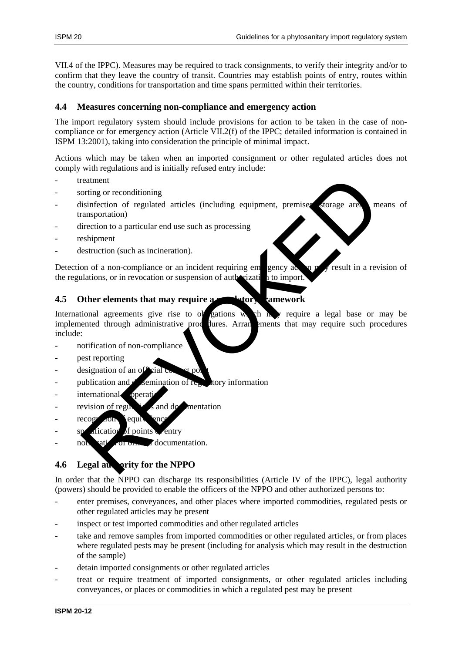VII.4 of the IPPC). Measures may be required to track consignments, to verify their integrity and/or to confirm that they leave the country of transit. Countries may establish points of entry, routes within the country, conditions for transportation and time spans permitted within their territories.

#### **4.4 Measures concerning non-compliance and emergency action**

The import regulatory system should include provisions for action to be taken in the case of noncompliance or for emergency action (Article VII.2(f) of the IPPC; detailed information is contained in ISPM 13:2001), taking into consideration the principle of minimal impact.

Actions which may be taken when an imported consignment or other regulated articles does not comply with regulations and is initially refused entry include:

- treatment
- sorting or reconditioning
- $\alpha$  disinfection of regulated articles (including equipment, premises, storage areas, means of transportation)
- direction to a particular end use such as processing
- reshipment
- destruction (such as incineration).

Detection of a non-compliance or an incident requiring emergency action  $p \rightarrow$  result in a revision of the regulations, or in revocation or suspension of authorization to import.

# **4.5 Other elements that may require a regulatory framework**

International agreements give rise to obligations which  $\mathbf{h}$  require a legal base or may be implemented through administrative procedures. Arrangements that may require such procedures include: reatment<br>
reatment<br>
is infection of regulated articles (including equipment, premise someone are<br>
is inspection to a particular end use such as processing<br>
electruction (such as incineration).<br>
Setter defined to an inciden

- notification of non-compliance
- pest reporting
- designation of an official contact points
- publication and  $d'$  semination of regulatory information
- international operati
- revision of regulations and documentation
- $recogr$  <sub>ao</sub> $n$  equivalent
- $\alpha$  fication of points entry
- notification of order documentation.

# **4.6 Legal authority for the NPPO**

In order that the NPPO can discharge its responsibilities (Article IV of the IPPC), legal authority (powers) should be provided to enable the officers of the NPPO and other authorized persons to:

- enter premises, conveyances, and other places where imported commodities, regulated pests or other regulated articles may be present
- inspect or test imported commodities and other regulated articles
- take and remove samples from imported commodities or other regulated articles, or from places where regulated pests may be present (including for analysis which may result in the destruction of the sample)
- detain imported consignments or other regulated articles
- treat or require treatment of imported consignments, or other regulated articles including conveyances, or places or commodities in which a regulated pest may be present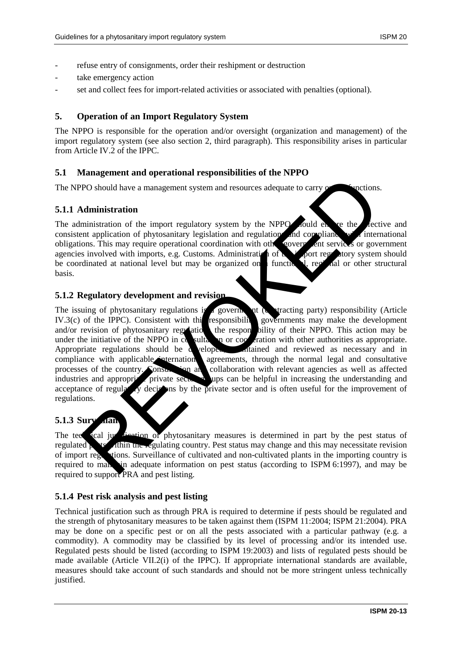- refuse entry of consignments, order their reshipment or destruction
- take emergency action
- set and collect fees for import-related activities or associated with penalties (optional).

#### **5. Operation of an Import Regulatory System**

The NPPO is responsible for the operation and/or oversight (organization and management) of the import regulatory system (see also section 2, third paragraph). This responsibility arises in particular from Article IV.2 of the IPPC.

#### **5.1 Management and operational responsibilities of the NPPO**

The NPPO should have a management system and resources adequate to carry outcomes.

#### **5.1.1 Administration**

The administration of the import regulatory system by the NPPO sould ensure the efective and consistent application of phytosanitary legislation and regulation and compliance with international obligations. This may require operational coordination with other government services or government agencies involved with imports, e.g. Customs. Administration of  $\mathbf{t}$  is joint regulatory system should be coordinated at national level but may be organized on  $\blacksquare$  functional, regional or other structural basis.

#### **5.1.2 Regulatory development and revision**

The issuing of phytosanitary regulations is a government (contracting party) responsibility (Article IV.3(c) of the IPPC). Consistent with this responsibility, governments may make the development and/or revision of phytosanitary regulations the responsibility of their NPPO. This action may be under the initiative of the NPPO in consultation or cooperation with other authorities as appropriate. Appropriate regulations should be developed at and reviewed as necessary and in compliance with applicable internation agreements, through the normal legal and consultative processes of the country. Consultation and collaboration with relevant agencies as well as affected industries and appropriate private sector  $\mathbb{R}^n$  ups can be helpful in increasing the understanding and acceptance of regulatory decisions by the private sector and is often useful for the improvement of regulations. The should have a management system and resources adequate to carry of the ministration of the moment regulatory system by the NPPO foold enter the application of phytosanitary legislation and regulation and compliants of

#### **5.1.3 Surveillan**

The technical justification of phytosanitary measures is determined in part by the pest status of regulated performance and this may necessitate revision of import regulations. Surveillance of cultivated and non-cultivated plants in the importing country is required to mannum adequate information on pest status (according to ISPM 6:1997), and may be required to support PRA and pest listing.

#### **5.1.4 Pest risk analysis and pest listing**

Technical justification such as through PRA is required to determine if pests should be regulated and the strength of phytosanitary measures to be taken against them (ISPM 11:2004; ISPM 21:2004). PRA may be done on a specific pest or on all the pests associated with a particular pathway (e.g. a commodity). A commodity may be classified by its level of processing and/or its intended use. Regulated pests should be listed (according to ISPM 19:2003) and lists of regulated pests should be made available (Article VII.2(i) of the IPPC). If appropriate international standards are available, measures should take account of such standards and should not be more stringent unless technically justified.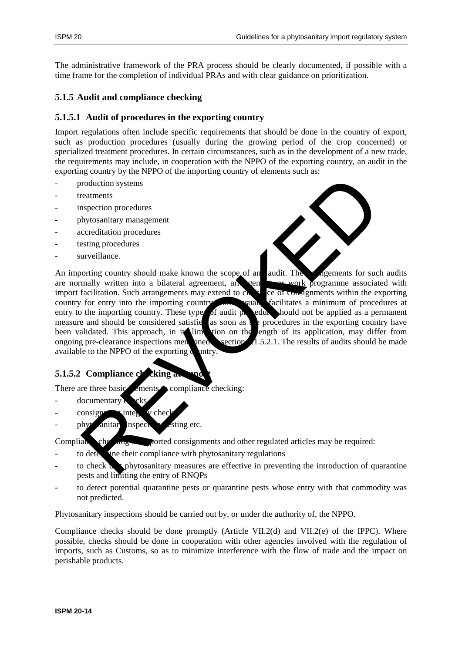The administrative framework of the PRA process should be clearly documented, if possible with a time frame for the completion of individual PRAs and with clear guidance on prioritization.

### **5.1.5 Audit and compliance checking**

#### **5.1.5.1 Audit of procedures in the exporting country**

Import regulations often include specific requirements that should be done in the country of export, such as production procedures (usually during the growing period of the crop concerned) or specialized treatment procedures. In certain circumstances, such as in the development of a new trade, the requirements may include, in cooperation with the NPPO of the exporting country, an audit in the exporting country by the NPPO of the importing country of elements such as:

- production systems
- treatments
- inspection procedures
- phytosanitary management
- accreditation procedures
- testing procedures
- surveillance.



An importing country should make known the scope of an audit. The arrangements for such audits are normally written into a bilateral agreement, and seen the arrangements for such audits are normally written into a bilateral agreement, any cen import facilitation. Such arrangements may extend to  $\mathbf{c}_1$  and  $\mathbf{c}_2$  are of consignments within the exporting country for entry into the importing country which such statisticates a minimum of procedures at entry to the importing country. These types of audit procedure should not be applied as a permanent measure and should be considered satisfied as soon as  $\mathbf{t}$  procedures in the exporting country have been validated. This approach, in it limit tion on the length of its application, may differ from ongoing pre-clearance inspections mentioned section  $\Lambda$ .5.2.1. The results of audits should be made available to the NPPO of the exporting  $\alpha$  untry. roduction systems<br>
reatiments<br>
hytosamitary management<br>
decretitation procedures<br>
string contrives hytosamitary management<br>
creeditation. Such arrangements may extend to can and<br>
reaching community should make known the sc

#### **5.1.5.2 Compliance checking a**

There are three basic ements compliance checking:

- documentary
- $\cos(\theta)$  consignment integration we check
- $\frac{1}{2}$  phytosanitary inspection, the string etc.

 $Complain$  checking of  $C$  consignments and other regulated articles may be required:

- to determine their compliance with phytosanitary regulations
- to check  $\mathbf{t}$  phytosanitary measures are effective in preventing the introduction of quarantine pests and limiting the entry of RNQPs
- to detect potential quarantine pests or quarantine pests whose entry with that commodity was not predicted.

Phytosanitary inspections should be carried out by, or under the authority of, the NPPO.

Compliance checks should be done promptly (Article VII.2(d) and VII.2(e) of the IPPC). Where possible, checks should be done in cooperation with other agencies involved with the regulation of imports, such as Customs, so as to minimize interference with the flow of trade and the impact on perishable products.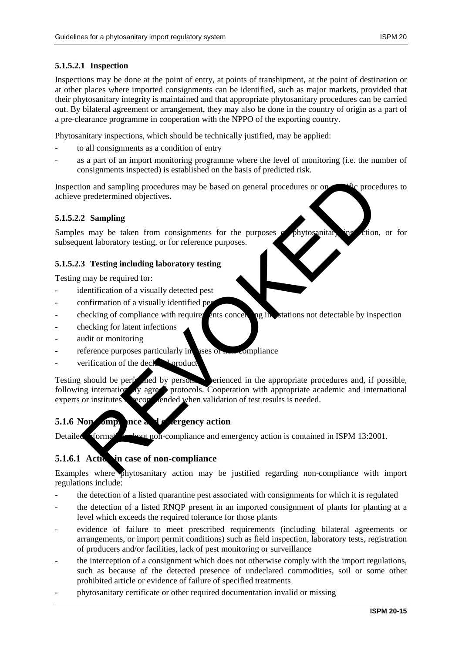# **5.1.5.2.1 Inspection**

Inspections may be done at the point of entry, at points of transhipment, at the point of destination or at other places where imported consignments can be identified, such as major markets, provided that their phytosanitary integrity is maintained and that appropriate phytosanitary procedures can be carried out. By bilateral agreement or arrangement, they may also be done in the country of origin as a part of a pre-clearance programme in cooperation with the NPPO of the exporting country.

Phytosanitary inspections, which should be technically justified, may be applied:

- to all consignments as a condition of entry
- as a part of an import monitoring programme where the level of monitoring (i.e. the number of consignments inspected) is established on the basis of predicted risk.

Inspection and sampling procedures may be based on general procedures or on specific procedures to achieve predetermined objectives.

#### **5.1.5.2.2 Sampling**

Samples may be taken from consignments for the purposes of phytosanitary instead on or for subsequent laboratory testing, or for reference purposes.

#### **5.1.5.2.3 Testing including laboratory testing**

Testing may be required for:

- identification of a visually detected pest
- confirmation of a visually identified pe
- checking of compliance with requirements concerning in extations not detectable by inspection
- checking for latent infections
- audit or monitoring
- reference purposes particularly in ases of non-compliance
- verification of the declared product.

Testing should be performed by persons experienced in the appropriate procedures and, if possible, following internationally agreed protocols. Cooperation with appropriate academic and international experts or institutes secon medid when validation of test results is needed. From and sampling procedures may be based on general procedures or on<br>
predetermined objectives.<br>
2 Sampling<br>
as may be taken from consignments for the purposes.<br>
2 Sampling<br>
as may be taken from consignments for the purpo

# **5.1.6 Non-compliance and exergency action**

Detailed formation about non-compliance and emergency action is contained in ISPM 13:2001.

# **5.1.6.1 Actively in case of non-compliance**

Examples where phytosanitary action may be justified regarding non-compliance with import regulations include:

- the detection of a listed quarantine pest associated with consignments for which it is regulated
- the detection of a listed RNQP present in an imported consignment of plants for planting at a level which exceeds the required tolerance for those plants
- evidence of failure to meet prescribed requirements (including bilateral agreements or arrangements, or import permit conditions) such as field inspection, laboratory tests, registration of producers and/or facilities, lack of pest monitoring or surveillance
- the interception of a consignment which does not otherwise comply with the import regulations, such as because of the detected presence of undeclared commodities, soil or some other prohibited article or evidence of failure of specified treatments
- phytosanitary certificate or other required documentation invalid or missing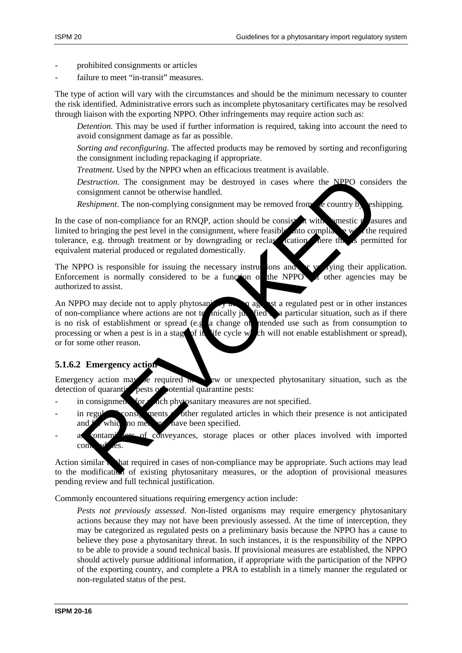- prohibited consignments or articles
- failure to meet "in-transit" measures.

The type of action will vary with the circumstances and should be the minimum necessary to counter the risk identified. Administrative errors such as incomplete phytosanitary certificates may be resolved through liaison with the exporting NPPO. Other infringements may require action such as:

*Detention*. This may be used if further information is required, taking into account the need to avoid consignment damage as far as possible.

*Sorting and reconfiguring*. The affected products may be removed by sorting and reconfiguring the consignment including repackaging if appropriate.

*Treatment*. Used by the NPPO when an efficacious treatment is available.

*Destruction*. The consignment may be destroyed in cases where the NPPO considers the consignment cannot be otherwise handled.

*Reshipment*. The non-complying consignment may be removed from the country by reshipping.

In the case of non-compliance for an RNQP, action should be consistent with domestic measures and limited to bringing the pest level in the consignment, where feasible, into compliance with the required tolerance, e.g. through treatment or by downgrading or reclassed cation. After the set permitted for tolerance, e.g. through treatment or by downgrading or reclassification where this is permitted for equivalent material produced or regulated domestically.

The NPPO is responsible for issuing the necessary instructions and for vertifying their application.<br>Enforcement is normally considered to be a function of the NPPO  $\alpha$  other agencies may be Enforcement is normally considered to be a function of the NPPO  $\alpha$  other agencies may be authorized to assist.

An NPPO may decide not to apply phytosanity and a regulated pest or in other instances of non-compliance where actions are not to anically justified a particular situation, such as if there is no risk of establishment or spread (e.g. a change of needed use such as from consumption to is no risk of establishment or spread (e.g. a change of processing or when a pest is in a stage of its life cycle which will not enable establishment or spread), or for some other reason. Destruction. The consignment may be destroyed in cases where the NPPO considered<br>
Restrigenent cannot be otherwise handled.<br>
Restrigenent from complique for an RNOP, action should be consistent with<br>
the restricted for an

# **5.1.6.2 Emergency action**

Emergency action may be required  $\mathbf{h}$ , and  $\mathbf{v}$  as the a new or unexpected phytosanitary situation, such as the detection of quarantine pests or potential quarantine pests:

- in consignments for which phytosanitary measures are not specified.
- in regulations of the regulated articles in which their presence is not anticipated and  $f$  which no measure have been specified.
- as contaminate of conveyances, storage places or other places involved with imported com

Action similar to that required in cases of non-compliance may be appropriate. Such actions may lead to the modification of existing phytosanitary measures, or the adoption of provisional measures pending review and full technical justification.

Commonly encountered situations requiring emergency action include:

*Pests not previously assessed*. Non-listed organisms may require emergency phytosanitary actions because they may not have been previously assessed. At the time of interception, they may be categorized as regulated pests on a preliminary basis because the NPPO has a cause to believe they pose a phytosanitary threat. In such instances, it is the responsibility of the NPPO to be able to provide a sound technical basis. If provisional measures are established, the NPPO should actively pursue additional information, if appropriate with the participation of the NPPO of the exporting country, and complete a PRA to establish in a timely manner the regulated or non-regulated status of the pest.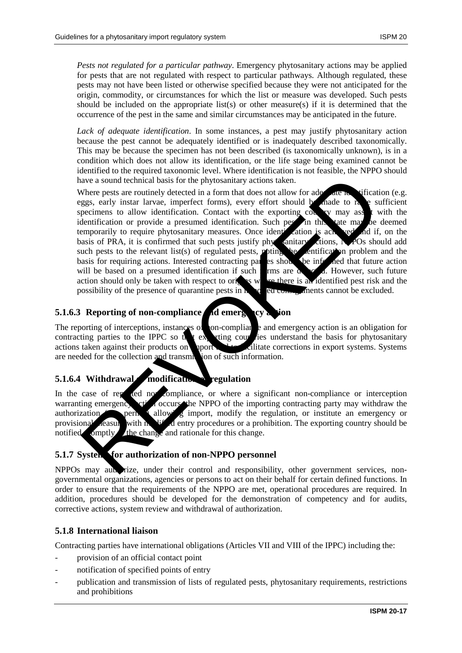*Pests not regulated for a particular pathway*. Emergency phytosanitary actions may be applied for pests that are not regulated with respect to particular pathways. Although regulated, these pests may not have been listed or otherwise specified because they were not anticipated for the origin, commodity, or circumstances for which the list or measure was developed. Such pests should be included on the appropriate list(s) or other measure(s) if it is determined that the occurrence of the pest in the same and similar circumstances may be anticipated in the future.

*Lack of adequate identification*. In some instances, a pest may justify phytosanitary action because the pest cannot be adequately identified or is inadequately described taxonomically. This may be because the specimen has not been described (is taxonomically unknown), is in a condition which does not allow its identification, or the life stage being examined cannot be identified to the required taxonomic level. Where identification is not feasible, the NPPO should have a sound technical basis for the phytosanitary actions taken.

Where pests are routinely detected in a form that does not allow for adequate its diffication (e.g. eggs, early instar larvae, imperfect forms), every effort should be made to raise sufficient specimens to allow identification. Contact with the exporting country may assist with the identification or provide a presumed identification. Such pests in this state may be deemed temporarily to require phytosanitary measures. Once identification is achieved and if, on the basis of PRA, it is confirmed that such pests justify phytosanitary actions,  $N$ POs should add such pests to the relevant list(s) of regulated pests, **poting the inertification** problem and the basis for requiring actions. Interested contracting parties show the informed that future action will be based on a presumed identification if such  $\frac{1}{2}$  ms are detected. However, such future action should only be taken with respect to origins where there is an identified pest risk and the possibility of the presence of quarantine pests in  $\frac{1}{2}$  ed conservation cannot be excluded. Altern pass are a sound rechnical basis for the phytosanitary actions taken.<br>
Mercure pass are notintely decided in a form that does not allow the passe carly instar larvae, imperfect forms), every effort should be ande to

# **5.1.6.3 Reporting of non-compliance and emergency action**

The reporting of interceptions, instances of on-compliance and emergency action is an obligation for contracting parties to the IPPC so that exporting countries understand the basis for phytosanitary actions taken against their products on uport and to facilitate corrections in export systems. Systems are needed for the collection and transmission of such information.

# **5.1.6.4 Withdrawal modification of regulation**

In the case of repeated non-compliance, or where a significant non-compliance or interception warranting emergency action occurs, the NPPO of the importing contracting party may withdraw the authorization permit allowing import, modify the regulation, or institute an emergency or provisional reasure with modified entry procedures or a prohibition. The exporting country should be notified omptly the change and rationale for this change.

#### **5.1.7 Systems for authorization of non-NPPO personnel**

NPPOs may authorize, under their control and responsibility, other government services, nongovernmental organizations, agencies or persons to act on their behalf for certain defined functions. In order to ensure that the requirements of the NPPO are met, operational procedures are required. In addition, procedures should be developed for the demonstration of competency and for audits, corrective actions, system review and withdrawal of authorization.

#### **5.1.8 International liaison**

Contracting parties have international obligations (Articles VII and VIII of the IPPC) including the:

- provision of an official contact point
- notification of specified points of entry
- publication and transmission of lists of regulated pests, phytosanitary requirements, restrictions and prohibitions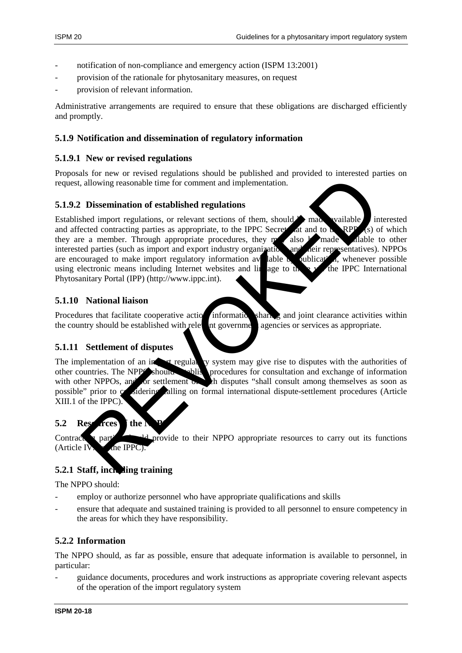- notification of non-compliance and emergency action (ISPM 13:2001)
- provision of the rationale for phytosanitary measures, on request
- provision of relevant information.

Administrative arrangements are required to ensure that these obligations are discharged efficiently and promptly.

#### **5.1.9 Notification and dissemination of regulatory information**

#### **5.1.9.1 New or revised regulations**

Proposals for new or revised regulations should be published and provided to interested parties on request, allowing reasonable time for comment and implementation.

#### **5.1.9.2 Dissemination of established regulations**

Established import regulations, or relevant sections of them, should  $\triangleright$  made vailable interested and affected contracting parties as appropriate, to the IPPC Secretariate and to the RPP<sub>O</sub>(s) of which they are a member. Through appropriate procedures, they may also be made all able to other interested parties (such as import and export industry organizations and neit representatives). NPPOs are encouraged to make import regulatory information available  $\lambda$  publication, whenever possible using electronic means including Internet websites and line age to the  $\frac{1}{2}$  the IPPC International Phytosanitary Portal (IPP) (http://www.ippc.int). Solvent provides registered to their NPP[O](http://www.ippc.int/) appropriate resources to carry out its formula and the provide to the state of the state of the state of the state of the state of the state of the state of the state of the state

#### **5.1.10 National liaison**

Procedures that facilitate cooperative action, information sharing and joint clearance activities within the country should be established with relevant government agencies or services as appropriate.

#### **5.1.11 Settlement of disputes**

The implementation of an import regular ty system may give rise to disputes with the authorities of other countries. The NPPO should solid procedures for consultation and exchange of information with other NPPOs, and for settlement  $\sigma$ , such disputes "shall consult among themselves as soon as possible" prior to considering alling on formal international dispute-settlement procedures (Article XIII.1 of the IPPC).

### **5.2 Resources** the NPP

Contracting parties in  $\frac{1}{4}$  provide to their NPPO appropriate resources to carry out its functions  $(A<sub>rt</sub>icle IV)$ .  $the IPPC$ ).

#### **5.2.1 Staff, including training**

The NPPO should:

- employ or authorize personnel who have appropriate qualifications and skills
- ensure that adequate and sustained training is provided to all personnel to ensure competency in the areas for which they have responsibility.

#### **5.2.2 Information**

The NPPO should, as far as possible, ensure that adequate information is available to personnel, in particular:

- guidance documents, procedures and work instructions as appropriate covering relevant aspects of the operation of the import regulatory system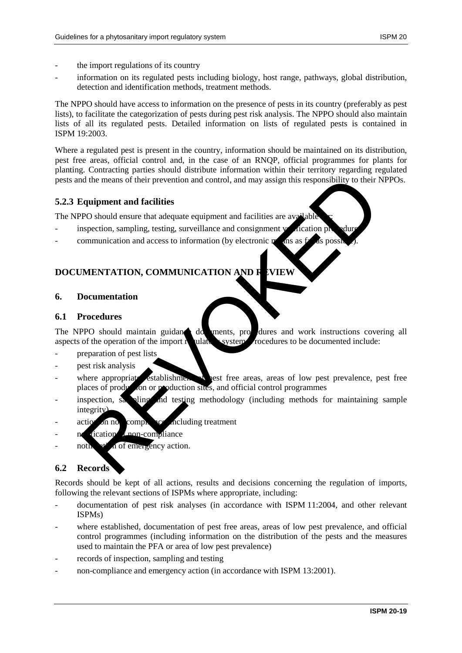- the import regulations of its country
- information on its regulated pests including biology, host range, pathways, global distribution, detection and identification methods, treatment methods.

The NPPO should have access to information on the presence of pests in its country (preferably as pest lists), to facilitate the categorization of pests during pest risk analysis. The NPPO should also maintain lists of all its regulated pests. Detailed information on lists of regulated pests is contained in ISPM 19:2003.

Where a regulated pest is present in the country, information should be maintained on its distribution, pest free areas, official control and, in the case of an RNQP, official programmes for plants for planting. Contracting parties should distribute information within their territory regarding regulated pests and the means of their prevention and control, and may assign this responsibility to their NPPOs.

#### **5.2.3 Equipment and facilities**

The NPPO should ensure that adequate equipment and facilities are  $av_i$ 

- $\frac{1}{2}$  inspection, sampling, testing, surveillance and consignment vertication procedures
- communication and access to information (by electronic  $\mathbf{p}$  and as far as possible).

# **DOCUMENTATION, COMMUNICATION AND REVIEW**

#### **6. Documentation**

#### **6.1 Procedures**

The NPPO should maintain guidant documents, procedures and work instructions covering all aspects of the operation of the import  $\mathbf{r}$  values includes to be documented include:

- preparation of pest lists
- pest risk analysis
- where appropriate establishment of pest free areas, areas of low pest prevalence, pest free places of production or production sites, and official control programmes Example the means of their prevention and control, and may assign this responsibility to their I<br>equipment and facilities<br>PO should ensure that adequate equipment and facilities are away table<br>respection, sampling, testing
- inspection, say all instant and testing methodology (including methods for maintaining sample integrity)
- $\arctan$  on no compliance, including treatment
- n fication from-compliance
- $\mathbf{u}^{\star}$  a of emergency action.

# **6.2 Records**

Records should be kept of all actions, results and decisions concerning the regulation of imports, following the relevant sections of ISPMs where appropriate, including:

- documentation of pest risk analyses (in accordance with ISPM 11:2004, and other relevant ISPMs)
- where established, documentation of pest free areas, areas of low pest prevalence, and official control programmes (including information on the distribution of the pests and the measures used to maintain the PFA or area of low pest prevalence)
- records of inspection, sampling and testing
- non-compliance and emergency action (in accordance with ISPM 13:2001).